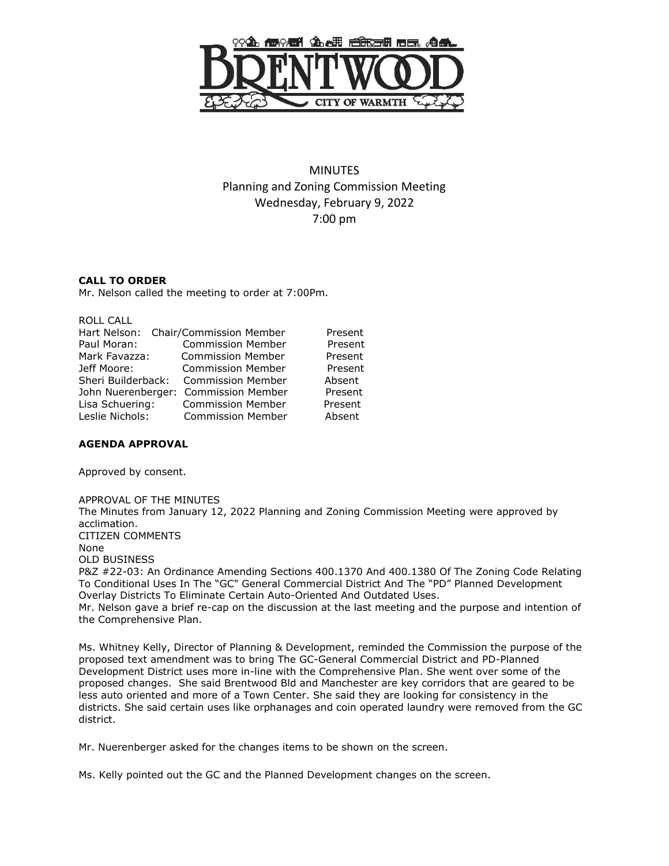

# MINUTES Planning and Zoning Commission Meeting Wednesday, February 9, 2022 7:00 pm

### **CALL TO ORDER**

Mr. Nelson called the meeting to order at 7:00Pm.

| ROLL CALL          |                                      |         |
|--------------------|--------------------------------------|---------|
|                    | Hart Nelson: Chair/Commission Member | Present |
| Paul Moran:        | <b>Commission Member</b>             | Present |
| Mark Favazza:      | <b>Commission Member</b>             | Present |
| Jeff Moore:        | <b>Commission Member</b>             | Present |
| Sheri Builderback: | <b>Commission Member</b>             | Absent  |
| John Nuerenberger: | <b>Commission Member</b>             | Present |
| Lisa Schuering:    | <b>Commission Member</b>             | Present |
| Leslie Nichols:    | <b>Commission Member</b>             | Absent  |
|                    |                                      |         |

### **AGENDA APPROVAL**

Approved by consent.

APPROVAL OF THE MINUTES The Minutes from January 12, 2022 Planning and Zoning Commission Meeting were approved by acclimation. CITIZEN COMMENTS None OLD BUSINESS P&Z #22-03: An Ordinance Amending Sections 400.1370 And 400.1380 Of The Zoning Code Relating To Conditional Uses In The "GC" General Commercial District And The "PD" Planned Development Overlay Districts To Eliminate Certain Auto-Oriented And Outdated Uses. Mr. Nelson gave a brief re-cap on the discussion at the last meeting and the purpose and intention of the Comprehensive Plan.

Ms. Whitney Kelly, Director of Planning & Development, reminded the Commission the purpose of the proposed text amendment was to bring The GC-General Commercial District and PD-Planned Development District uses more in-line with the Comprehensive Plan. She went over some of the proposed changes. She said Brentwood Bld and Manchester are key corridors that are geared to be less auto oriented and more of a Town Center. She said they are looking for consistency in the districts. She said certain uses like orphanages and coin operated laundry were removed from the GC district.

Mr. Nuerenberger asked for the changes items to be shown on the screen.

Ms. Kelly pointed out the GC and the Planned Development changes on the screen.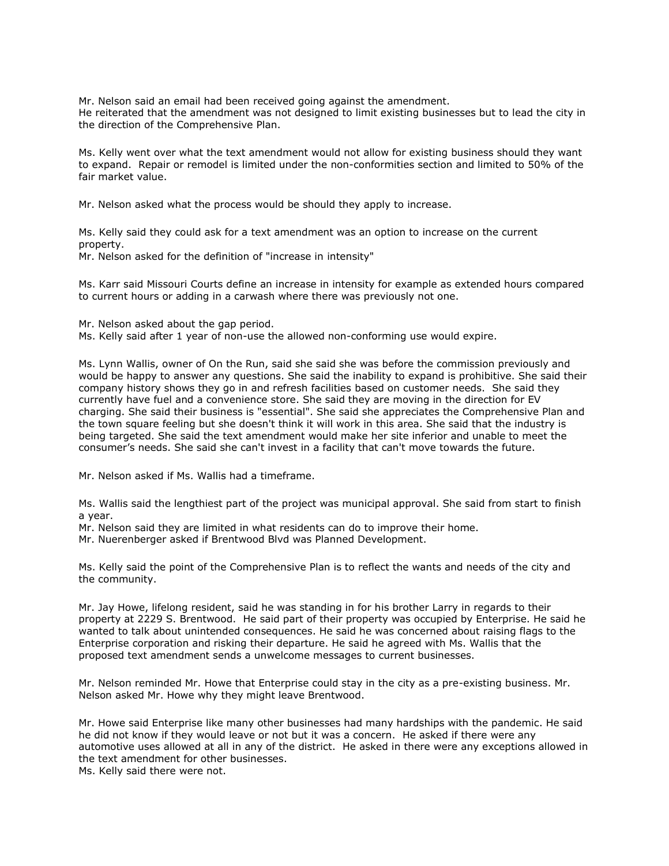Mr. Nelson said an email had been received going against the amendment. He reiterated that the amendment was not designed to limit existing businesses but to lead the city in the direction of the Comprehensive Plan.

Ms. Kelly went over what the text amendment would not allow for existing business should they want to expand. Repair or remodel is limited under the non-conformities section and limited to 50% of the fair market value.

Mr. Nelson asked what the process would be should they apply to increase.

Ms. Kelly said they could ask for a text amendment was an option to increase on the current property.

Mr. Nelson asked for the definition of "increase in intensity"

Ms. Karr said Missouri Courts define an increase in intensity for example as extended hours compared to current hours or adding in a carwash where there was previously not one.

Mr. Nelson asked about the gap period. Ms. Kelly said after 1 year of non-use the allowed non-conforming use would expire.

Ms. Lynn Wallis, owner of On the Run, said she said she was before the commission previously and would be happy to answer any questions. She said the inability to expand is prohibitive. She said their company history shows they go in and refresh facilities based on customer needs. She said they currently have fuel and a convenience store. She said they are moving in the direction for EV charging. She said their business is "essential". She said she appreciates the Comprehensive Plan and the town square feeling but she doesn't think it will work in this area. She said that the industry is being targeted. She said the text amendment would make her site inferior and unable to meet the consumer's needs. She said she can't invest in a facility that can't move towards the future.

Mr. Nelson asked if Ms. Wallis had a timeframe.

Ms. Wallis said the lengthiest part of the project was municipal approval. She said from start to finish a year.

Mr. Nelson said they are limited in what residents can do to improve their home.

Mr. Nuerenberger asked if Brentwood Blvd was Planned Development.

Ms. Kelly said the point of the Comprehensive Plan is to reflect the wants and needs of the city and the community.

Mr. Jay Howe, lifelong resident, said he was standing in for his brother Larry in regards to their property at 2229 S. Brentwood. He said part of their property was occupied by Enterprise. He said he wanted to talk about unintended consequences. He said he was concerned about raising flags to the Enterprise corporation and risking their departure. He said he agreed with Ms. Wallis that the proposed text amendment sends a unwelcome messages to current businesses.

Mr. Nelson reminded Mr. Howe that Enterprise could stay in the city as a pre-existing business. Mr. Nelson asked Mr. Howe why they might leave Brentwood.

Mr. Howe said Enterprise like many other businesses had many hardships with the pandemic. He said he did not know if they would leave or not but it was a concern. He asked if there were any automotive uses allowed at all in any of the district. He asked in there were any exceptions allowed in the text amendment for other businesses.

Ms. Kelly said there were not.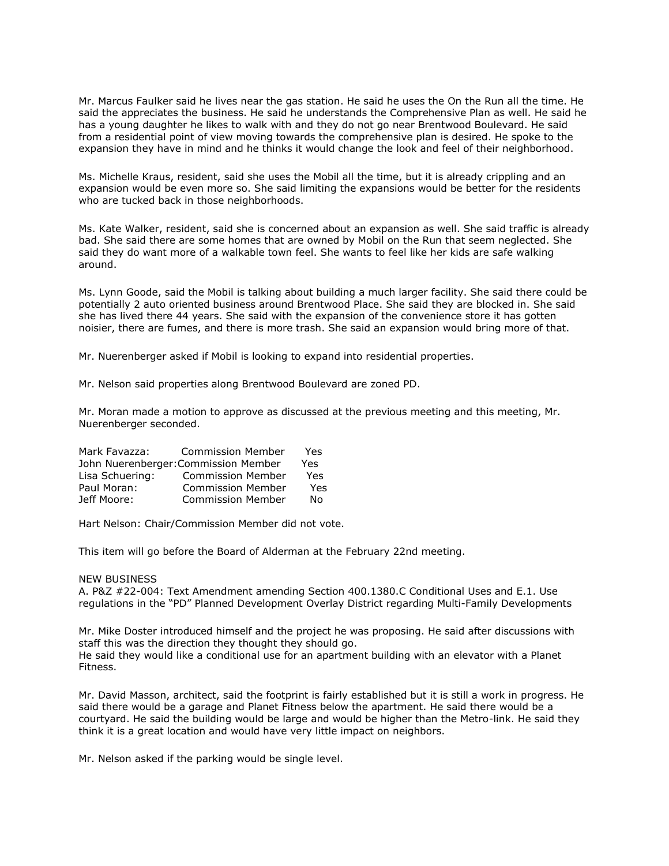Mr. Marcus Faulker said he lives near the gas station. He said he uses the On the Run all the time. He said the appreciates the business. He said he understands the Comprehensive Plan as well. He said he has a young daughter he likes to walk with and they do not go near Brentwood Boulevard. He said from a residential point of view moving towards the comprehensive plan is desired. He spoke to the expansion they have in mind and he thinks it would change the look and feel of their neighborhood.

Ms. Michelle Kraus, resident, said she uses the Mobil all the time, but it is already crippling and an expansion would be even more so. She said limiting the expansions would be better for the residents who are tucked back in those neighborhoods.

Ms. Kate Walker, resident, said she is concerned about an expansion as well. She said traffic is already bad. She said there are some homes that are owned by Mobil on the Run that seem neglected. She said they do want more of a walkable town feel. She wants to feel like her kids are safe walking around.

Ms. Lynn Goode, said the Mobil is talking about building a much larger facility. She said there could be potentially 2 auto oriented business around Brentwood Place. She said they are blocked in. She said she has lived there 44 years. She said with the expansion of the convenience store it has gotten noisier, there are fumes, and there is more trash. She said an expansion would bring more of that.

Mr. Nuerenberger asked if Mobil is looking to expand into residential properties.

Mr. Nelson said properties along Brentwood Boulevard are zoned PD.

Mr. Moran made a motion to approve as discussed at the previous meeting and this meeting, Mr. Nuerenberger seconded.

| Mark Favazza:                        | <b>Commission Member</b> | Yes |
|--------------------------------------|--------------------------|-----|
| John Nuerenberger: Commission Member |                          | Yes |
| Lisa Schuering:                      | <b>Commission Member</b> | Yes |
| Paul Moran:                          | <b>Commission Member</b> | Yes |
| Jeff Moore:                          | <b>Commission Member</b> | Nο  |

Hart Nelson: Chair/Commission Member did not vote.

This item will go before the Board of Alderman at the February 22nd meeting.

#### NEW BUSINESS

A. P&Z #22-004: Text Amendment amending Section 400.1380.C Conditional Uses and E.1. Use regulations in the "PD" Planned Development Overlay District regarding Multi-Family Developments

Mr. Mike Doster introduced himself and the project he was proposing. He said after discussions with staff this was the direction they thought they should go. He said they would like a conditional use for an apartment building with an elevator with a Planet Fitness.

Mr. David Masson, architect, said the footprint is fairly established but it is still a work in progress. He said there would be a garage and Planet Fitness below the apartment. He said there would be a courtyard. He said the building would be large and would be higher than the Metro-link. He said they think it is a great location and would have very little impact on neighbors.

Mr. Nelson asked if the parking would be single level.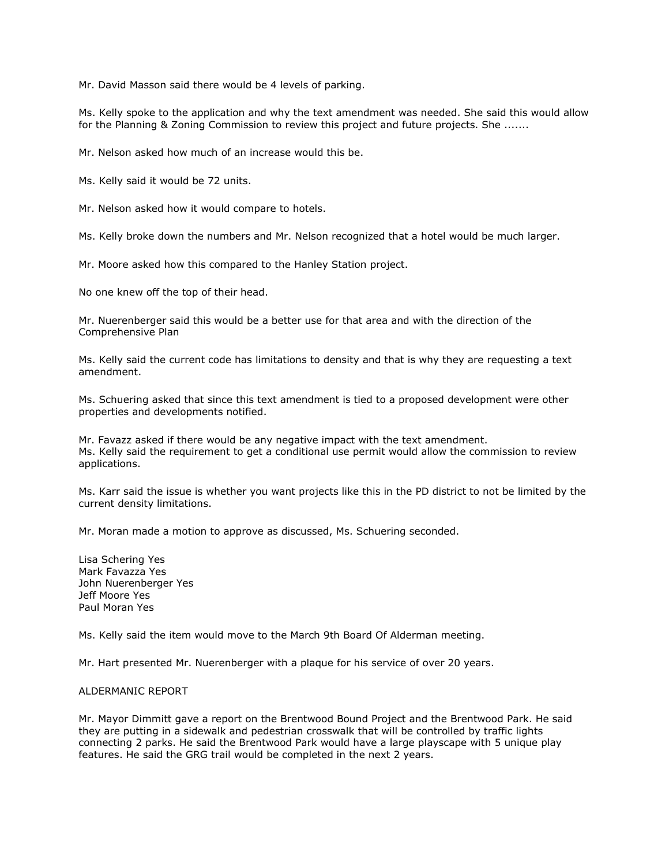Mr. David Masson said there would be 4 levels of parking.

Ms. Kelly spoke to the application and why the text amendment was needed. She said this would allow for the Planning & Zoning Commission to review this project and future projects. She .......

Mr. Nelson asked how much of an increase would this be.

Ms. Kelly said it would be 72 units.

Mr. Nelson asked how it would compare to hotels.

Ms. Kelly broke down the numbers and Mr. Nelson recognized that a hotel would be much larger.

Mr. Moore asked how this compared to the Hanley Station project.

No one knew off the top of their head.

Mr. Nuerenberger said this would be a better use for that area and with the direction of the Comprehensive Plan

Ms. Kelly said the current code has limitations to density and that is why they are requesting a text amendment.

Ms. Schuering asked that since this text amendment is tied to a proposed development were other properties and developments notified.

Mr. Favazz asked if there would be any negative impact with the text amendment. Ms. Kelly said the requirement to get a conditional use permit would allow the commission to review applications.

Ms. Karr said the issue is whether you want projects like this in the PD district to not be limited by the current density limitations.

Mr. Moran made a motion to approve as discussed, Ms. Schuering seconded.

Lisa Schering Yes Mark Favazza Yes John Nuerenberger Yes Jeff Moore Yes Paul Moran Yes

Ms. Kelly said the item would move to the March 9th Board Of Alderman meeting.

Mr. Hart presented Mr. Nuerenberger with a plaque for his service of over 20 years.

### ALDERMANIC REPORT

Mr. Mayor Dimmitt gave a report on the Brentwood Bound Project and the Brentwood Park. He said they are putting in a sidewalk and pedestrian crosswalk that will be controlled by traffic lights connecting 2 parks. He said the Brentwood Park would have a large playscape with 5 unique play features. He said the GRG trail would be completed in the next 2 years.